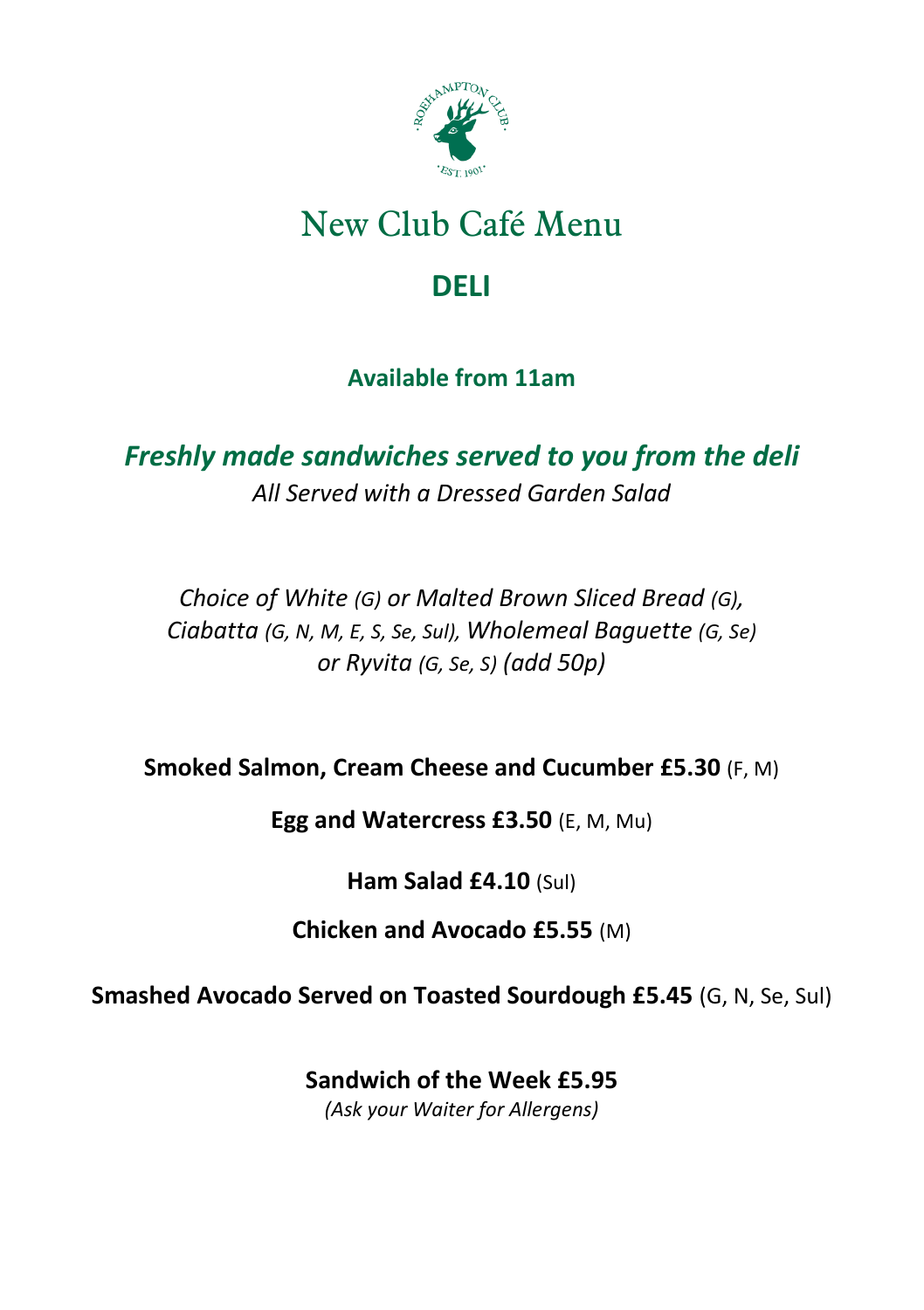

# New Club Café Menu

### **DELI**

#### **Available from 11am**

*Freshly made sandwiches served to you from the deli All Served with a Dressed Garden Salad*

*Choice of White (G) or Malted Brown Sliced Bread (G), Ciabatta (G, N, M, E, S, Se, Sul), Wholemeal Baguette (G, Se) or Ryvita (G, Se, S) (add 50p)*

**Smoked Salmon, Cream Cheese and Cucumber £5.30** (F, M)

**Egg and Watercress £3.50** (E, M, Mu)

**Ham Salad £4.10** (Sul)

**Chicken and Avocado £5.55** (M)

**Smashed Avocado Served on Toasted Sourdough £5.45** (G, N, Se, Sul)

**Sandwich of the Week £5.95** *(Ask your Waiter for Allergens)*